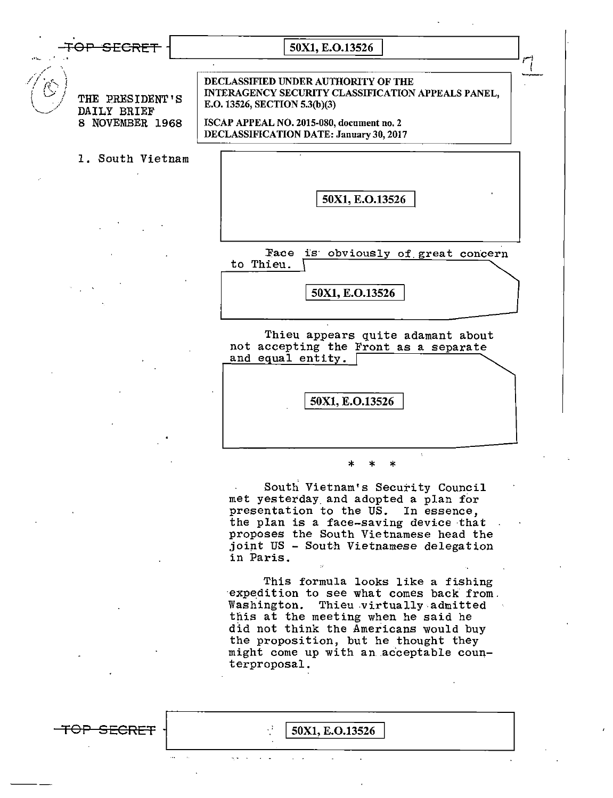## O<del>P SECRET</del>

THE PRESIDENT'S DAILY BRIEF 8 NOVEMBER 1968

## l. South Vietnam

DECLASSIFIED UNDER AUTHORITY OF THE INTERAGENCY SECURITY CLASSIFICATION APPEALS PANEL, E.O. 13526, SECTION 5.3(b)(3)

/

50X1, E.O.13526

ISCAP APPEAL NO. 2015-080, document no. 2 DECLASSIFICATION DATE: January 30, 2017

| 50X1, E.O.13526                                                                        |
|----------------------------------------------------------------------------------------|
| Face is obviously of great concern<br>to Thieu.                                        |
| 50X1, E.O.13526                                                                        |
| Thieu appears quite adamant about<br>naaanting the Eucht es a somemete<br>$m \wedge +$ |

not accepting the Front as a separate and equal entity.

50X1, E.O.13526

\* \* \*

South Vietnam's Security Council met yesterday. and adopted a plan for presentation to the US. In essence, the plan is a face-saving device that proposes the South Vietnamese head the joint US - South Vietnamese delegation in Paris.

This formula looks like a fishing expedition to see what comes back from. Washington. Thieu virtually admitted this at the meeting when he said he did not think the Americans would buy the proposition, but he thought they might come up with an acceptable counterproposal.

 $T$  is secret in the second interval in the second interval in the second interval in the second interval in the second interval in the second interval in the second interval in the second interval in the second interval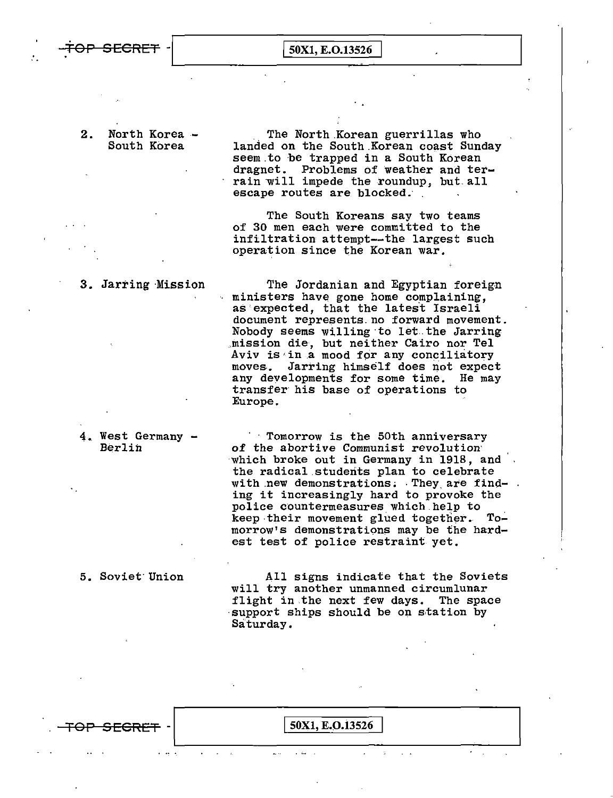$\begin{array}{|c|c|c|c|c|}\hline \texttt{for} & \texttt{SCર} & \texttt{50X1}, \texttt{E.0.13526} & \texttt{0.127}\hline \end{array}$ 

2. North Korea - The North Korean guerrillas who<br>South Korea . Ianded on the South Korean coast Sunday seem.to be trapped in a South Korean dragnet. Problems of weather and terrain will impede the roundup, but.all escape routes are blocked.

> The South Koreans say two teams of 30 men each were committed to the infiltration attempt--the largest such operation since the Korean war.

3. Jarring Mission The Jordanian and Egyptian foreign ministers have gone home complaining, as expected, that the latest Israeli document represents.no forward movement. Nobody seems willing·to let.the Jarring .mission die, but neither Cairo nor Tel Aviv is in a mood for any conciliatory<br>moves. Jarring himself does not expect Jarring himself does not expect any developments for some time. He may transfer his base of operations to Europe.

West Germany - Tomorrow is the 50th anniversary<br>Berlin berling of the abortive Communist revolution which broke out in Germany in 1918, and the radical.studerits plan to celebrate with new demonstrations. They are find-. ing it increasingly hard to provoke the police countermeasures which.help to keep their movement glued together. Tomorrow's demonstrations may be the hardest test of police restraint yet.

4. West Germany -<br>Berlin

5. Soviet·Union All signs indicate that the Soviets will try another unmanned circumlunar flight in the next few days. The space support ships should be on station by Saturday.

TOP SECRET -  $\boxed{50X1, E. O.13526}$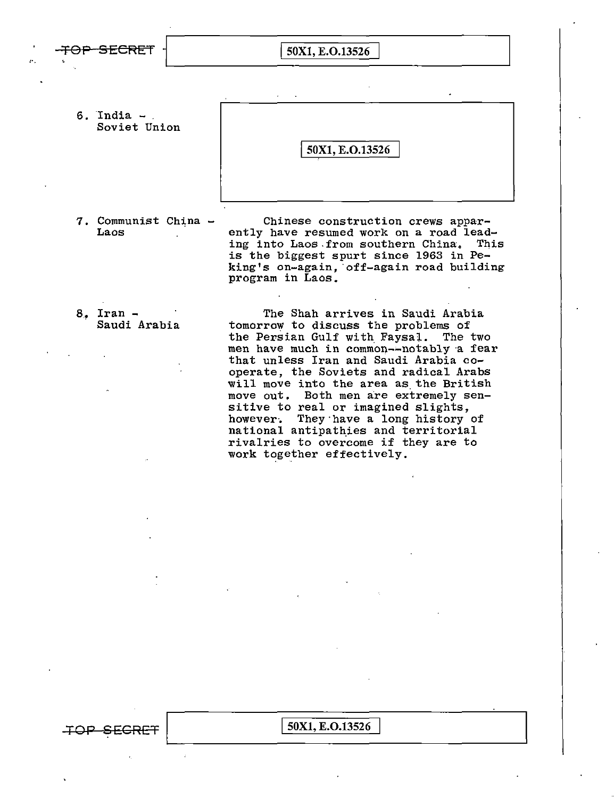TOP SECRE:'f l..\_\_\_\_\_\_\_\_1\_s\_o\_x\_1,\_E\_.o\_.\_l3\_s\_2\_6\_\_\_\_\_\_\_~

6. India  $\sim$  Soviet Union

Chinese construction crews apparently have resumed work on a road leading into Laos from southern China. This

is the biggest spurt since 1963 in Peking's on-again, off-again road building

program in Laos.

50X1, E.O.13526

8. Iran -<br>Saudi Arabia

7. Communist China -<br>Laos

The Shah arrives in Saudi Arabia tomorrow to discuss the problems of the Persian Gulf with Faysal. The two men have much in common--notably a fear that unless Iran and Saudi Arabia cooperate, the Soviets and radical Arabs will move into the area as the British move out. Both men are extremely sensitive to real or imagined slights, however. They have a long history of national antipathies and territorial rivalries to overcome if they are to work together effectively.

 $\begin{array}{|c|c|c|c|}\n\hline\n\text{TOP-SECRET} & \text{S0X1, E.O.13526}\n\hline\n\end{array}$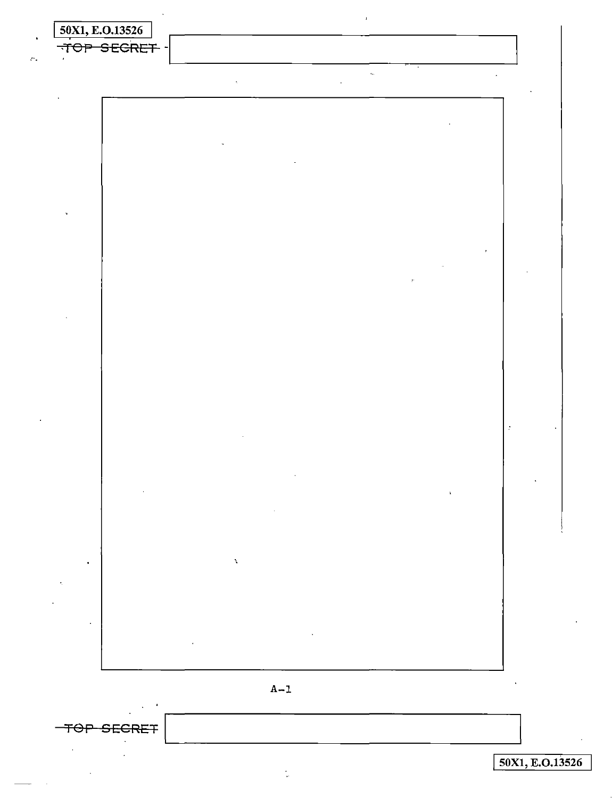| 50X1, E.O.13526<br>TOP SECRET - |                       |                        |
|---------------------------------|-----------------------|------------------------|
|                                 |                       | $\bullet$<br>$\bullet$ |
|                                 | $\tilde{\phantom{a}}$ |                        |

 $A-1$ 

TOP SECRET